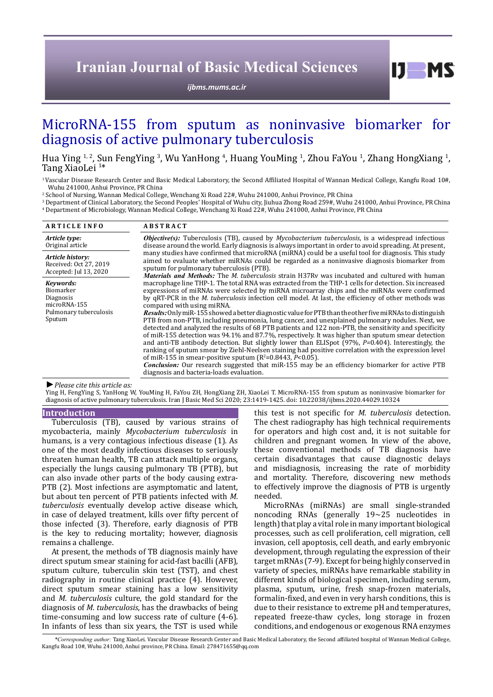# **Iranian Journal of Basic Medical Sciences**

*[ijbms.mums.ac.ir](http://ijbms.mums.ac.ir)*

# MicroRNA-155 from sputum as noninvasive biomarker for diagnosis of active pulmonary tuberculosis

Hua Ying <sup>1, 2</sup>, Sun FengYing <sup>3</sup>, Wu YanHong <sup>4</sup>, Huang YouMing <sup>1</sup>, Zhou FaYou <sup>1</sup>, Zhang HongXiang <sup>1</sup>,<br>Tang XiaoLei <sup>1\*</sup> Tang XiaoLei<sup>1\*</sup>

<sup>1</sup>Vascular Disease Research Center and Basic Medical Laboratory, the Second Affiliated Hospital of Wannan Medical College, Kangfu Road 10#, Wuhu 241000, Anhui Province, PR China

2 School of Nursing, Wannan Medical College, Wenchang Xi Road 22#, Wuhu 241000, Anhui Province, PR China

3 Department of Clinical Laboratory, the Second Peoples' Hospital of Wuhu city, Jiuhua Zhong Road 259#, Wuhu 241000, Anhui Province, PR China 4 Department of Microbiology, Wannan Medical College, Wenchang Xi Road 22#, Wuhu 241000, Anhui Province, PR China

| <b>ARTICLE INFO</b>                                                                     | <b>ABSTRACT</b>                                                                                                                                                                                                                                                                                                                                                                                                                                                                                                                                                                                                                                                                                                                                                                                                                                                                                                                                                                                                                                                                                                                                                                                                                                                                                                             |  |
|-----------------------------------------------------------------------------------------|-----------------------------------------------------------------------------------------------------------------------------------------------------------------------------------------------------------------------------------------------------------------------------------------------------------------------------------------------------------------------------------------------------------------------------------------------------------------------------------------------------------------------------------------------------------------------------------------------------------------------------------------------------------------------------------------------------------------------------------------------------------------------------------------------------------------------------------------------------------------------------------------------------------------------------------------------------------------------------------------------------------------------------------------------------------------------------------------------------------------------------------------------------------------------------------------------------------------------------------------------------------------------------------------------------------------------------|--|
| Article type:<br>Original article                                                       | <b><i>Objective(s):</i></b> Tuberculosis (TB), caused by <i>Mycobacterium tuberculosis</i> , is a widespread infectious<br>disease around the world. Early diagnosis is always important in order to avoid spreading. At present,<br>many studies have confirmed that microRNA (miRNA) could be a useful tool for diagnosis. This study<br>aimed to evaluate whether miRNAs could be regarded as a noninvasive diagnosis biomarker from<br>sputum for pulmonary tuberculosis (PTB).                                                                                                                                                                                                                                                                                                                                                                                                                                                                                                                                                                                                                                                                                                                                                                                                                                         |  |
| Article history:<br>Received: Oct 27, 2019<br>Accepted: Jul 13, 2020                    |                                                                                                                                                                                                                                                                                                                                                                                                                                                                                                                                                                                                                                                                                                                                                                                                                                                                                                                                                                                                                                                                                                                                                                                                                                                                                                                             |  |
| Kevwords:<br>Biomarker<br>Diagnosis<br>microRNA-155<br>Pulmonary tuberculosis<br>Sputum | Materials and Methods: The M. tuberculosis strain H37Rv was incubated and cultured with human<br>macrophage line THP-1. The total RNA was extracted from the THP-1 cells for detection. Six increased<br>expressions of miRNAs were selected by miRNA microarray chips and the miRNAs were confirmed<br>by qRT-PCR in the <i>M. tuberculosis</i> infection cell model. At last, the efficiency of other methods was<br>compared with using miRNA.<br>Results: Only miR-155 showed a better diagnostic value for PTB than the other five miRNAs to distinguish<br>PTB from non-PTB, including pneumonia, lung cancer, and unexplained pulmonary nodules. Next, we<br>detected and analyzed the results of 68 PTB patients and 122 non-PTB, the sensitivity and specificity<br>of miR-155 detection was 94.1% and 87.7%, respectively. It was higher than sputum smear detection<br>and anti-TB antibody detection. But slightly lower than ELISpot $(97\%$ , $P=0.404$ ). Interestingly, the<br>ranking of sputum smear by Ziehl-Neelsen staining had positive correlation with the expression level<br>of miR-155 in smear-positive sputum ( $R^2$ =0.8443, $P$ <0.05).<br><b>Conclusion:</b> Our research suggested that miR-155 may be an efficiency biomarker for active PTB<br>diagnosis and bacteria-loads evaluation. |  |

#### *►Please cite this article as:*

Ying H, FengYing S, YanHong W, YouMing H, FaYou ZH, HongXiang ZH, XiaoLei T. MicroRNA-155 from sputum as noninvasive biomarker for diagnosis of active pulmonary tuberculosis. Iran J Basic Med Sci 2020; 23:1419-1425. doi: 10.22038/ijbms.2020.44029.10324

### **Introduction**

Tuberculosis (TB), caused by various strains of mycobacteria, mainly *Mycobacterium tuberculosis* in humans, is a very contagious infectious disease (1). As one of the most deadly infectious diseases to seriously threaten human health, TB can attack multiple organs, especially the lungs causing pulmonary TB (PTB), but can also invade other parts of the body causing extra-PTB (2). Most infections are asymptomatic and latent, but about ten percent of PTB patients infected with *M. tuberculosis* eventually develop active disease which, in case of delayed treatment, kills over fifty percent of those infected (3). Therefore, early diagnosis of PTB is the key to reducing mortality; however, diagnosis remains a challenge.

At present, the methods of TB diagnosis mainly have direct sputum smear staining for acid-fast bacilli (AFB), sputum culture, tuberculin skin test (TST), and chest radiography in routine clinical practice (4). However, direct sputum smear staining has a low sensitivity and *M. tuberculosis* culture, the gold standard for the diagnosis of *M. tuberculosis*, has the drawbacks of being time-consuming and low success rate of culture (4-6). In infants of less than six years, the TST is used while

this test is not specific for *M. tuberculosis* detection. The chest radiography has high technical requirements for operators and high cost and, it is not suitable for children and pregnant women. In view of the above, these conventional methods of TB diagnosis have certain disadvantages that cause diagnostic delays and misdiagnosis, increasing the rate of morbidity and mortality. Therefore, discovering new methods to effectively improve the diagnosis of PTB is urgently needed.

 $I$   $I$   $M$   $S$ 

MicroRNAs (miRNAs) are small single-stranded noncoding RNAs (generally 19~25 nucleotides in length) that play a vital role in many important biological processes, such as cell proliferation, cell migration, cell invasion, cell apoptosis, cell death, and early embryonic development, through regulating the expression of their target mRNAs (7-9). Except for being highly conserved in variety of species, miRNAs have remarkable stability in different kinds of biological specimen, including serum, plasma, sputum, urine, fresh snap-frozen materials, formalin-fixed, and even in very harsh conditions, this is due to their resistance to extreme pH and temperatures, repeated freeze-thaw cycles, long storage in frozen conditions, and endogenous or exogenous RNA enzymes

 *\*Corresponding author:* Tang XiaoLei. Vascular Disease Research Center and Basic Medical Laboratory, the Second affiliated hospital of Wannan Medical College, Kangfu Road 10#, Wuhu 241000, Anhui province, PR China. Email: 278471655@qq.com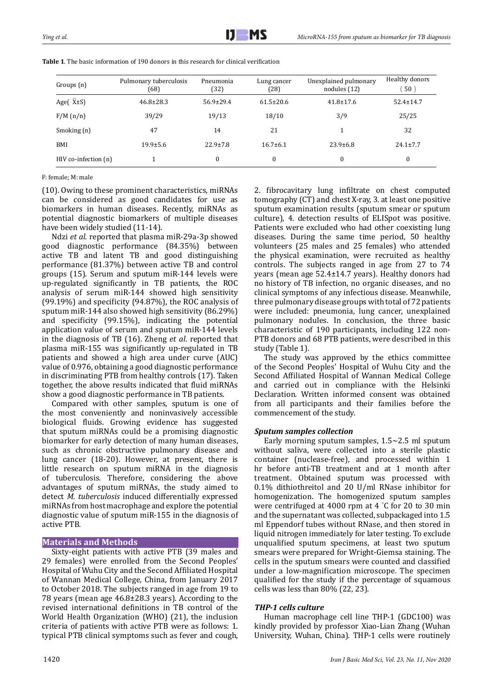| Groups (n)               | Pulmonary tuberculosis<br>(68) | Pneumonia<br>(32) | Lung cancer<br>(28) | Unexplained pulmonary<br>nodules $(12)$ | Healthy donors<br>50 <sup>°</sup> |
|--------------------------|--------------------------------|-------------------|---------------------|-----------------------------------------|-----------------------------------|
| Age $(X \pm S)$          | $46.8 \pm 28.3$                | $56.9 \pm 29.4$   | $61.5 \pm 20.6$     | $41.8 \pm 17.6$                         | $52.4 \pm 14.7$                   |
| F/M(n/n)                 | 39/29                          | 19/13             | 18/10               | 3/9                                     | 25/25                             |
| Smoking (n)              | 47                             | 14                | 21                  |                                         | 32                                |
| BMI                      | $19.9 \pm 5.6$                 | $22.9 \pm 7.8$    | $16.7\pm 6.1$       | $23.9 \pm 6.8$                          | $24.1 \pm 7.7$                    |
| $HIV$ co-infection $(n)$ |                                | $\Omega$          | $\theta$            | $\boldsymbol{0}$                        | 0                                 |

**Table 1**. The basic information of 190 donors in this research for clinical verification

## F: female; M: male

(10). Owing to these prominent characteristics, miRNAs can be considered as good candidates for use as biomarkers in human diseases. Recently, miRNAs as potential diagnostic biomarkers of multiple diseases have been widely studied (11-14).

Ndzi *et al*. reported that plasma miR-29a-3p showed good diagnostic performance (84.35%) between active TB and latent TB and good distinguishing performance (81.37%) between active TB and control groups (15). Serum and sputum miR-144 levels were up-regulated significantly in TB patients, the ROC analysis of serum miR-144 showed high sensitivity (99.19%) and specificity (94.87%), the ROC analysis of sputum miR-144 also showed high sensitivity (86.29%) and specificity (99.15%), indicating the potential application value of serum and sputum miR-144 levels in the diagnosis of TB (16). Zheng *et al*. reported that plasma miR-155 was significantly up-regulated in TB patients and showed a high area under curve (AUC) value of 0.976, obtaining a good diagnostic performance in discriminating PTB from healthy controls (17). Taken together, the above results indicated that fluid miRNAs show a good diagnostic performance in TB patients.

Compared with other samples, sputum is one of the most conveniently and noninvasively accessible biological fluids. Growing evidence has suggested that sputum miRNAs could be a promising diagnostic biomarker for early detection of many human diseases, such as chronic obstructive pulmonary disease and lung cancer (18-20). However, at present, there is little research on sputum miRNA in the diagnosis of tuberculosis. Therefore, considering the above advantages of sputum miRNAs, the study aimed to detect *M. tuberculosis* induced differentially expressed miRNAs from host macrophage and explore the potential diagnostic value of sputum miR-155 in the diagnosis of active PTB.

## **Materials and Methods**

Sixty-eight patients with active PTB (39 males and 29 females) were enrolled from the Second Peoples' Hospital of Wuhu City and the Second Affiliated Hospital of Wannan Medical College, China, from January 2017 to October 2018. The subjects ranged in age from 19 to 78 years (mean age 46.8±28.3 years). According to the revised international definitions in TB control of the World Health Organization (WHO) (21), the inclusion criteria of patients with active PTB were as follows: 1. typical PTB clinical symptoms such as fever and cough, 2. fibrocavitary lung infiltrate on chest computed tomography (CT) and chest X-ray, 3. at least one positive sputum examination results (sputum smear or sputum culture), 4. detection results of ELISpot was positive. Patients were excluded who had other coexisting lung diseases. During the same time period, 50 healthy volunteers (25 males and 25 females) who attended the physical examination, were recruited as healthy controls. The subjects ranged in age from 27 to 74 years (mean age 52.4±14.7 years). Healthy donors had no history of TB infection, no organic diseases, and no clinical symptoms of any infectious disease. Meanwhile, three pulmonary disease groups with total of 72 patients were included: [pneumonia,](file:///C:/Users/DELL/AppData/Local/youdao/dict/Application/7.5.0.0/resultui/dict/?keyword=pneumonia) lung cancer, unexplained pulmonary nodules. In conclusion, the three basic characteristic of 190 participants, including 122 non-PTB donors and 68 PTB patients, were described in this study (Table 1).

The study was approved by the ethics committee of the Second Peoples' Hospital of Wuhu City and the Second Affiliated Hospital of Wannan Medical College and carried out in compliance with the Helsinki Declaration. Written informed consent was obtained from all participants and their families before the commencement of the study.

## *Sputum samples collection*

Early morning sputum samples,  $1.5 \sim 2.5$  ml sputum without saliva, were collected into a sterile plastic container (nuclease-free), and processed within 1 hr before anti-TB treatment and at 1 month after treatment. Obtained sputum was processed with 0.1% dithiothreitol and 20 U/ml RNase inhibitor for homogenization. The homogenized sputum samples were centrifuged at 4000 rpm at 4 ° C for 20 to 30 min and the supernatant was collected, subpackaged into 1.5 ml Eppendorf tubes without RNase, and then stored in liquid nitrogen immediately for later testing. To exclude unqualified sputum specimens, at least two sputum smears were prepared for Wright-Giemsa staining. The cells in the sputum smears were counted and classified under a low-magnification microscope. The specimen qualified for the study if the percentage of squamous cells was less than 80% (22, 23).

## *THP-1 cells culture*

Human macrophage cell line THP-1 (GDC100) was kindly provided by professor Xiao-Lian Zhang (Wuhan University, Wuhan, China). THP-1 cells were routinely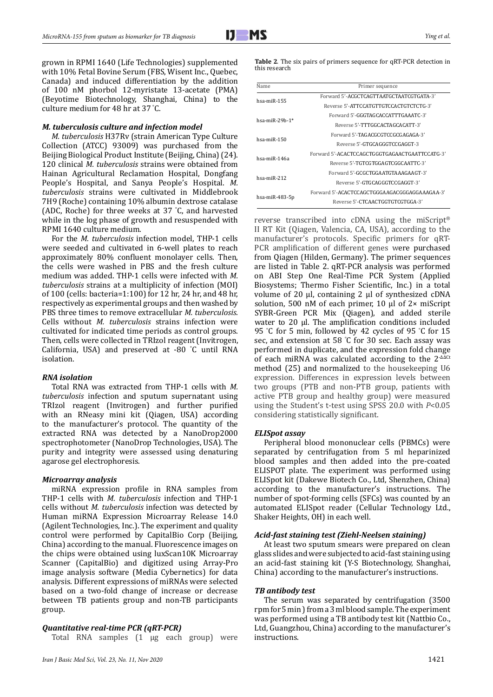grown in RPMI 1640 (Life Technologies) supplemented with 10% Fetal Bovine Serum (FBS, Wisent Inc., Quebec, Canada) and induced differentiation by the addition of 100 nM phorbol 12-myristate 13-acetate (PMA) ([Beyotime Biotechnology](http://www.baidu.com/link?url=Nay_i9CalEhkCwTAyeDB_saaOMlh8lxynUabwXldr5euGZxxVWoAjVlDVC2z1_9u), Shanghai, China) to the culture medium for 48 hr at 37 ° C.

### *M. tuberculosis culture and infection model*

*M. tuberculosis* H37Rv (strain American Type Culture Collection (ATCC) 93009) was purchased from the Beijing Biological Product Institute (Beijing, China) (24). 120 clinical *M. tuberculosis* strains were obtained from Hainan Agricultural Reclamation Hospital, Dongfang People's Hospital, and Sanya People's Hospital. *M. tuberculosis* strains were cultivated in Middlebrook 7H9 (Roche) containing 10% albumin dextrose catalase (ADC, Roche) for three weeks at 37 ° C, and harvested while in the log phase of growth and resuspended with RPMI 1640 culture medium.

For the *M. tuberculosis* infection model, THP-1 cells were seeded and cultivated in 6-well plates to reach approximately 80% confluent monolayer cells. Then, the cells were washed in PBS and the fresh culture medium was added. THP-1 cells were infected with *M. tuberculosis* strains at a multiplicity of infection (MOI) of 100 (cells: bacteria=1:100) for 12 hr, 24 hr, and 48 hr, respectively as experimental groups and then washed by PBS three times to remove extracellular *M. tuberculosis*. Cells without *M. tuberculosis* strains infection were cultivated for indicated time periods as control groups. Then, cells were collected in TRIzol reagent (Invitrogen, California, USA) and preserved at -80 ° C until RNA isolation.

## *RNA isolation*

Total RNA was extracted from THP-1 cells with *M. tuberculosis* infection and sputum supernatant using TRIzol reagent (Invitrogen) and further purified with an RNeasy mini kit (Qiagen, USA) according to the manufacturer's protocol. The quantity of the extracted RNA was detected by a NanoDrop2000 spectrophotometer (NanoDrop Technologies, USA). The purity and integrity were assessed using denaturing agarose gel electrophoresis.

#### *Microarray analysis*

[miRNA expression profile](http://dx.doi.org/10.1136/jim-2019-001020) in RNA samples from THP-1 cells with *M. tuberculosis* infection and THP-1 cells without *M. tuberculosis* infection was detected by Human miRNA Expression Microarray Release 14.0 (Agilent Technologies, Inc.). The experiment and quality control were performed by CapitalBio Corp (Beijing, China) according to the manual. Fluorescence images on the chips were obtained using luxScan10K Microarray Scanner (CapitalBio) and digitized using Array-Pro image analysis software (Media Cybernetics) for data analysis. Different expressions of miRNAs were selected based on a two-fold change of increase or decrease between TB patients group and non-TB participants group.

## *Quantitative real-time PCR (qRT-PCR)*

Total RNA samples (1 μg each group) were

**Table 2**. The six pairs of primers sequence for qRT-PCR detection in this research

| Name                 | Primer sequence                                |  |  |
|----------------------|------------------------------------------------|--|--|
|                      | Forward 5'-ACGCTCAGTTAATGCTAATCGTGATA-3'       |  |  |
| $hsa$ -mi $R-155$    | Reverse 5'-ATTCCATGTTGTCCACTGTCTCTG-3'         |  |  |
| $hsa$ -mi $R-29h-1*$ | Forward 5'-GGGTAGCACCATTTGAAATC-3'             |  |  |
|                      | Reverse 5'-TTTGGCACTAGCACATT-3'                |  |  |
| $hsa-miR-150$        | Forward 5'-TAGACGCGTCCGCGAGAGA-3'              |  |  |
|                      | Reverse 5'-GTGCAGGGTCCGAGGT-3                  |  |  |
| $hsa$ -mi $R-146a$   | Forward 5'-ACACTCCAGCTGGGTGAGAACTGAATTCCATG-3' |  |  |
|                      | Reverse 5'-TGTCGTGGAGTCGGCAATTC-3'             |  |  |
| $hsa-miR-212$        | Forward 5'-GCGCTGGAATGTAAAGAAGT-3'             |  |  |
|                      | Reverse 5'-GTGCAGGGTCCGAGGT-3'                 |  |  |
| hsa-miR-483-5p       | Forward 5'-ACACTCCAGCTGGGAAGACGGGAGGAAAGAA-3'  |  |  |
|                      | Reverse 5'-CTCAACTGGTGTCGTGGA-3'               |  |  |

reverse transcribed into cDNA using the miScript® II RT Kit (Qiagen, Valencia, CA, USA), according to the manufacturer's protocols. Specific primers for qRT-PCR amplification of different genes were purchased from Qiagen (Hilden, Germany). The primer sequences are listed in Table 2. qRT-PCR analysis was performed on ABI Step One Real-Time PCR System (Applied Biosystems; Thermo Fisher Scientific, Inc.) in a total volume of 20 μl, containing 2 μl of synthesized cDNA solution, 500 nM of each primer, 10 μl of 2× miScript SYBR-Green PCR Mix (Qiagen), and added sterile water to 20 μl. The amplification conditions included 95 ° C for 5 min, followed by 42 cycles of 95 ° C for 15 sec, and extension at 58 ° C for 30 sec. Each assay was performed in duplicate, and the expression fold change of each miRNA was calculated according to the  $2$ <sup>- $\Delta\Delta$ Ct</sup> method (25) and normalized to the housekeeping U6 expression. Differences in expression levels between two groups (PTB and non-PTB group, patients with active PTB group and healthy group) were measured using the Student's t-test using SPSS 20.0 with *P*<0.05 considering statistically significant.

#### *ELISpot assay*

Peripheral blood mononuclear cells (PBMCs) were separated by centrifugation from 5 ml heparinized blood samples and then added into the pre-coated ELISPOT plate. The experiment was performed using ELISpot kit (Dakewe Biotech Co., Ltd, Shenzhen, China) according to the manufacturer's instructions. The number of spot-forming cells (SFCs) was counted by an automated ELISpot reader (Cellular Technology Ltd., Shaker Heights, OH) in each well.

#### *Acid-fast staining test (Ziehl-Neelsen staining)*

At least two sputum smears were prepared on clean glass slides and were subjected to acid-fast staining using an acid-fast staining kit (Y-S Biotechnology, Shanghai, 2 China) according to the manufacturer's instructions.

#### *TB antibody test*

The serum was separated by centrifugation (3500 rpm for 5 min ) from a 3 ml blood sample. The experiment was performed using a TB antibody test kit (Nattbio Co., Ltd, Guangzhou, China) according to the manufacturer's instructions.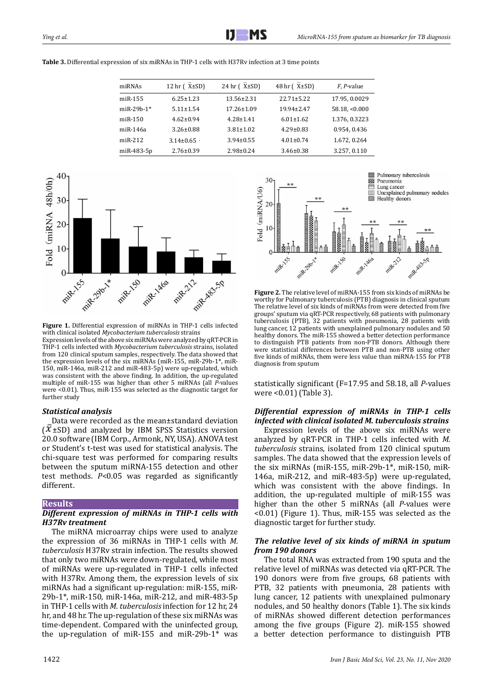| miRNAs         | 12 hr $(X±SD)$  | 24 hr $(X±SD)$   | 48 hr $(X±SD)$   | F, P-value    |
|----------------|-----------------|------------------|------------------|---------------|
| $m$ i $R-155$  | $6.25 \pm 1.23$ | $13.56 \pm 2.31$ | $22.71 \pm 5.22$ | 17.95, 0.0029 |
| $miR-29b-1*$   | $5.11 \pm 1.54$ | $17.26 \pm 1.09$ | 19.94±2.47       | 58.18, <0.000 |
| $miR-150$      | $4.62 \pm 0.94$ | $4.28 \pm 1.41$  | $6.01 \pm 1.62$  | 1.376, 0.3223 |
| $m$ i $R-146a$ | $3.26 \pm 0.88$ | $3.81 \pm 1.02$  | $4.29 \pm 0.83$  | 0.954, 0.436  |
| $miR-212$      | $3.14 \pm 0.65$ | $3.94 \pm 0.55$  | $4.01 \pm 0.74$  | 1.672, 0.264  |
| miR-483-5p     | $2.76 \pm 0.39$ | $2.98 \pm 0.24$  | $3.46 \pm 0.38$  | 3.257, 0.110  |





**Figure 1.** Differential expression of miRNAs in THP-1 cells infected with clinical isolated *Mycobacterium tuberculosis* strains

Expression levels of the above six miRNAs were analyzed by qRT-PCR in THP-1 cells infected with *Mycobacterium tuberculosis* strains, isolated from 120 clinical sputum samples, respectively. The data showed that the expression levels of the six miRNAs (miR-155, miR-29b-1\*, miR-150, miR-146a, miR-212 and miR-483-5p) were up-regulated, which was consistent with the above finding. In addition, the up-regulated multiple of miR-155 was higher than other 5 miRNAs (all *P-*values were <0.01). Thus, miR-155 was selected as the diagnostic target for further study

## *Statistical analysis*

Data were recorded as the mean±standard deviation  $(\bar{X} \pm SD)$  and analyzed by IBM SPSS Statistics version 20.0 software (IBM Corp., Armonk, NY, USA). ANOVA test or Student's t-test was used for statistical analysis. The chi-square test was performed for comparing results between the sputum miRNA-155 detection and other test methods. *P*<0.05 was regarded as significantly different.

#### **Results**

## *Different expression of miRNAs in THP-1 cells with H37Rv treatment*

The miRNA microarray chips were used to analyze the expression of 36 miRNAs in THP-1 cells with *M. tuberculosis* H37Rv strain infection. The results showed that only two miRNAs were down-regulated, while most of miRNAs were up-regulated in THP-1 cells infected with H37Rv. Among them, the expression levels of six miRNAs had a significant up-regulation: miR-155, miR-29b-1\*, miR-150, miR-146a, miR-212, and miR-483-5p in THP-1 cells with *M. tuberculosis* infection for 12 hr, 24 hr, and 48 hr. The up-regulation of these six miRNAs was time-dependent. Compared with the uninfected group, the up-regulation of miR-155 and miR-29b-1\* was





**Figure 2.** The relative level of miRNA-155 from six kinds of miRNAs be worthy for Pulmonary tuberculosis (PTB) diagnosis in clinical sputum The relative level of six kinds of miRNAs from were detected from five groups' sputum via qRT-PCR respectively, 68 patients with pulmonary tuberculosis (PTB), 32 patients with pneumonia, 28 patients with lung cancer, 12 patients with unexplained pulmonary nodules and 50 healthy donors. The miR-155 showed a better detection performance to distinguish PTB patients from non-PTB donors. Although there were statistical differences between PTB and non-PTB using other five kinds of miRNAs, them were less value than miRNA-155 for PTB diagnosis from sputum

statistically significant (F=17.95 and 58.18, all *P*-values were <0.01) (Table 3).

## *Differential expression of miRNAs in THP-1 cells infected with clinical isolated M. tuberculosis strains*

Expression levels of the above six miRNAs were analyzed by qRT-PCR in THP-1 cells infected with *M. tuberculosis* strains, isolated from 120 clinical sputum samples. The data showed that the expression levels of 2 the six miRNAs (miR-155, miR-29b-1\*, miR-150, miR-146a, miR-212, and miR-483-5p) were up-regulated, which was consistent with the above findings. In addition, the up-regulated multiple of miR-155 was higher than the other 5 miRNAs (all *P-*values were <0.01) (Figure 1). Thus, miR-155 was selected as the diagnostic target for further study.

## *The relative level of six kinds of miRNA in sputum from 190 donors*

The total RNA was extracted from 190 sputa and the relative level of miRNAs was detected via qRT-PCR. The 190 donors were from five groups, 68 patients with PTB, 32 patients with pneumonia, 28 patients with lung cancer, 12 patients with unexplained pulmonary nodules, and 50 healthy donors (Table 1). The six kinds of miRNAs showed different detection performances among the five groups (Figure 2). miR-155 showed a better detection performance to distinguish PTB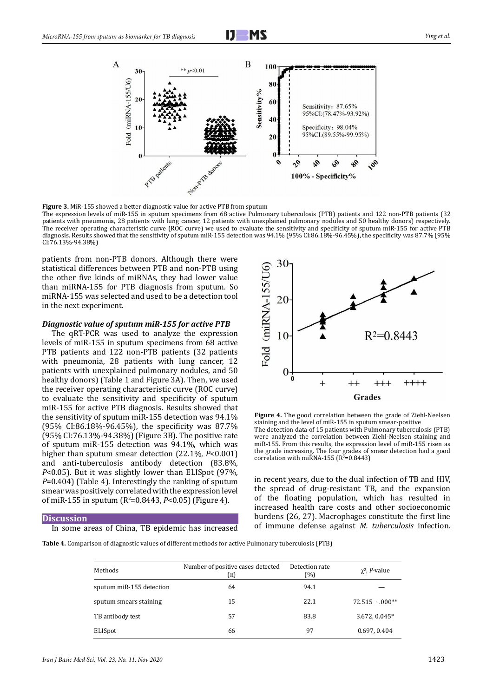



**Figure 3.** MiR-155 showed a better diagnostic value for active PTB from sputum

The expression levels of miR-155 in sputum specimens from 68 active Pulmonary tuberculosis (PTB) patients and 122 non-PTB patients (32 patients with pneumonia, 28 patients with lung cancer, 12 patients with unexplained pulmonary nodules and 50 healthy donors) respectively. The receiver operating characteristic curve (ROC curve) we used to evaluate the sensitivity and specificity of sputum miR-155 for active PTB diagnosis. Results showed that the sensitivity of sputum miR-155 detection was 94.1% (95% CI:86.18%-96.45%), the specificity was 87.7% (95% CI:76.13%-94.38%)

patients from non-PTB donors. Although there were statistical differences between PTB and non-PTB using the other five kinds of miRNAs, they had lower value than miRNA-155 for PTB diagnosis from sputum. So miRNA-155 was selected and used to be a detection tool in the next experiment.

#### *Diagnostic value of sputum miR-155 for active PTB*

The qRT-PCR was used to analyze the expression levels of miR-155 in sputum specimens from 68 active PTB patients and 122 non-PTB patients (32 patients with pneumonia, 28 patients with lung cancer, 12 patients with unexplained pulmonary nodules, and 50 healthy donors) (Table 1 and Figure 3A). Then, we used the receiver operating characteristic curve (ROC curve) to evaluate the sensitivity and specificity of sputum miR-155 for active PTB diagnosis. Results showed that the sensitivity of sputum miR-155 detection was 94.1% (95% CI:86.18%-96.45%), the specificity was 87.7% (95% CI:76.13%-94.38%) (Figure 3B). The positive rate 3 of sputum miR-155 detection was 94.1%, which was higher than sputum smear detection (22.1%, *P*<0.001) and anti-tuberculosis antibody detection (83.8%, *P*<0.05). But it was slightly lower than ELISpot (97%, *P*=0.404) (Table 4). Interestingly the ranking of sputum smear was positively correlated with the expression level of miR-155 in sputum (R<sup>2</sup>=0.8443, P<0.05) (Figure 4).

#### **Discussion**

In some areas of China, TB epidemic has increased



**Figure 4.** The good correlation between the grade of Ziehl-Neelsen staining and the level of miR-155 in sputum smear-positive The detection data of 15 patients with Pulmonary tuberculosis (PTB) were analyzed the correlation between Ziehl-Neelsen staining and miR-155. From this results, the expression level of miR-155 risen as the grade increasing. The four grades of smear detection had a good correlation with miRNA-155  $(R^2=0.8443)$ 

in recent years, due to the dual infection of TB and HIV, the spread of drug-resistant TB, and the expansion of the floating population, which has resulted in increased health care costs and other socioeconomic burdens (26, 27). Macrophages constitute the first line of immune defense against *M. tuberculosis* infection.

**Table 4.** Comparison of diagnostic values of different methods for active Pulmonary tuberculosis (PTB)

| Methods                  | Number of positive cases detected<br>(n) | Detection rate<br>(%) | $\chi^2$ , <i>P</i> -value |
|--------------------------|------------------------------------------|-----------------------|----------------------------|
| sputum miR-155 detection | 64                                       | 94.1                  |                            |
| sputum smears staining   | 15                                       | 22.1                  | $72.515 \cdot .000**$      |
| TB antibody test         | 57                                       | 83.8                  | 3.672, 0.045*              |
| ELISpot                  | 66                                       | 97                    | 0.697, 0.404               |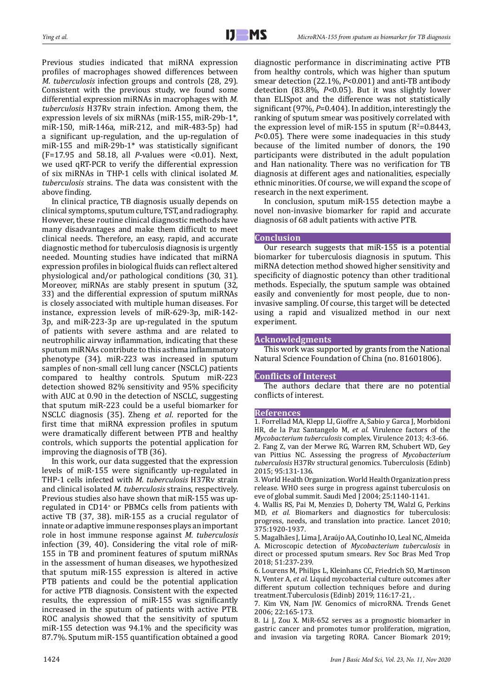Previous studies indicated that miRNA expression profiles of macrophages showed differences between *M. tuberculosis* infection groups and controls (28, 29). Consistent with the previous study, we found some differential expression miRNAs in macrophages with *M. tuberculosis* H37Rv strain infection. Among them, the expression levels of six miRNAs (miR-155, miR-29b-1\*, miR-150, miR-146a, miR-212, and miR-483-5p) had a significant up-regulation, and the up-regulation of miR-155 and miR-29b-1\* was statistically significant (F=17.95 and 58.18, all *P*-values were <0.01). Next, we used qRT-PCR to verify the differential expression of six miRNAs in THP-1 cells with clinical isolated *M. tuberculosis* strains. The data was consistent with the above finding.

In clinical practice, TB diagnosis usually depends on clinical symptoms, sputum culture, TST, and radiography. However, these routine clinical diagnostic methods have many disadvantages and make them difficult to meet clinical needs. Therefore, an easy, rapid, and accurate diagnostic method for tuberculosis diagnosis is urgently needed. Mounting studies have indicated that miRNA expression profiles in biological fluids can reflect altered physiological and/or pathological conditions (30, 31). Moreover, miRNAs are stably present in sputum (32, 33) and the differential expression of sputum miRNAs is closely associated with multiple human diseases. For instance, expression levels of miR-629-3p, miR-142- 3p, and miR-223-3p are up-regulated in the sputum of patients with severe asthma and are related to neutrophilic airway inflammation, indicating that these sputum miRNAs contribute to this asthma inflammatory phenotype (34). miR-223 was increased in sputum samples of non-small cell lung cancer (NSCLC) patients compared to healthy controls. Sputum miR-223 detection showed 82% sensitivity and 95% specificity with AUC at 0.90 in the detection of NSCLC, suggesting that sputum miR-223 could be a useful biomarker for NSCLC diagnosis (35). Zheng *et al*. reported for the first time that miRNA expression profiles in sputum were dramatically different between PTB and healthy controls, which supports the potential application for improving the diagnosis of TB (36).

In this work, our data suggested that the expression levels of miR-155 were significantly up-regulated in THP-1 cells infected with *M. tuberculosis* H37Rv strain and clinical isolated *M. tuberculosis* strains, respectively. Previous studies also have shown that miR-155 was upregulated in CD14<sup>+</sup> or PBMCs cells from patients with active TB (37, 38). miR-155 as a crucial regulator of innate or adaptive immune responses plays an important role in host immune response against *M. tuberculosis* infection (39, 40). Considering the vital role of miR-155 in TB and prominent features of sputum miRNAs in the assessment of human diseases, we hypothesized that sputum miR-155 expression is altered in active PTB patients and could be the potential application for active PTB diagnosis. Consistent with the expected results, the expression of miR-155 was significantly increased in the sputum of patients with active PTB. ROC analysis showed that the sensitivity of sputum miR-155 detection was 94.1% and the specificity was 87.7%. Sputum miR-155 quantification obtained a good diagnostic performance in discriminating active PTB from healthy controls, which was higher than sputum smear detection (22.1%, *P*<0.001) and anti-TB antibody detection (83.8%, *P*<0.05). But it was slightly lower than ELISpot and the difference was not statistically significant (97%, *P*=0.404). In addition, interestingly the ranking of sputum smear was positively correlated with the expression level of miR-155 in sputum ( $R^2$ =0.8443, *P*<0.05). There were some inadequacies in this study because of the limited number of donors, the 190 participants were distributed in the adult population and Han nationality. There was no verification for TB diagnosis at different ages and nationalities, especially ethnic minorities. Of course, we will expand the scope of research in the next experiment.

In conclusion, sputum miR-155 detection maybe a novel non-invasive biomarker for rapid and accurate diagnosis of 68 adult patients with active PTB.

## **Conclusion**

Our research suggests that miR-155 is a potential biomarker for tuberculosis diagnosis in sputum. This miRNA detection method showed higher sensitivity and specificity of diagnostic potency than other traditional methods. Especially, the sputum sample was obtained easily and conveniently for most people, due to noninvasive sampling. Of course, this target will be detected using a rapid and visualized method in our next experiment.

## **Acknowledgments**

This work was supported by grants from the National Natural Science Foundation of China (no. 81601806).

## **Conflicts of Interest**

The authors declare that there are no potential conflicts of interest.

#### **References**

1. Forrellad MA, Klepp LI, Gioffre A, Sabio y Garca J, Morbidoni HR, de la Paz Santangelo M, *et al*. Virulence factors of the *Mycobacterium tuberculosis* complex. Virulence 2013; 4:3-66. 2. Fang Z, van der Merwe RG, Warren RM, Schubert WD, Gey van Pittius NC. Assessing the progress of *Mycobacterium tuberculosis* H37Rv structural genomics. Tuberculosis (Edinb) 2015; 95:131-136.

3. World Health Organization. World Health Organization press release. WHO sees surge in progress against tuberculosis on eve of global summit. Saudi Med J 2004; 25:1140-1141.

4. Wallis RS, Pai M, Menzies D, Doherty TM, Walzl G, Perkins MD, *et al.* Biomarkers and diagnostics for tuberculosis: progress, needs, and translation into practice. Lancet 2010; 375:1920-1937.

5. Magalhães J, Lima J, Araújo AA, Coutinho IO, Leal NC, Almeida A. Microscopic detection of *Mycobacterium tuberculosis* in direct or processed sputum smears. Rev Soc Bras Med Trop 2018; 51:237-239.

6. Lourens M, Philips L, Kleinhans CC, Friedrich SO, Martinson N, Venter A, *et al.* Liquid mycobacterial culture outcomes after different sputum collection techniques before and during treatment.Tuberculosis (Edinb) 2019; 116:17-21, .

7. Kim VN, Nam JW. Genomics of microRNA. Trends Genet 2006; 22:165-173.

8. Li J, Zou X. MiR-652 serves as a prognostic biomarker in gastric cancer and promotes tumor proliferation, migration, and invasion via targeting RORA. Cancer Biomark 2019;